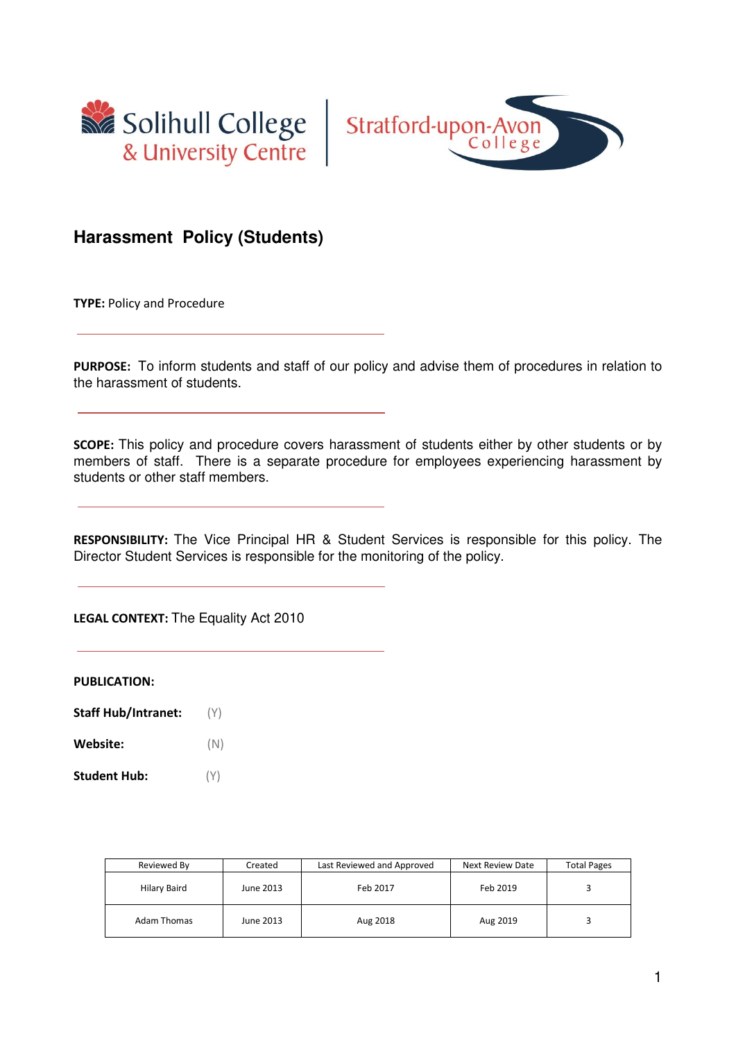



# **Harassment Policy (Students)**

**TYPE:** Policy and Procedure

**PURPOSE:** To inform students and staff of our policy and advise them of procedures in relation to the harassment of students.

**SCOPE:** This policy and procedure covers harassment of students either by other students or by members of staff. There is a separate procedure for employees experiencing harassment by students or other staff members.

**RESPONSIBILITY:** The Vice Principal HR & Student Services is responsible for this policy. The Director Student Services is responsible for the monitoring of the policy.

**LEGAL CONTEXT:** The Equality Act 2010

**PUBLICATION:** 

- **Staff Hub/Intranet:** (Y)
- **Website:** (N)
- **Student Hub:** (Y)

| Reviewed By  | Created   | Last Reviewed and Approved | Next Review Date | <b>Total Pages</b> |
|--------------|-----------|----------------------------|------------------|--------------------|
| Hilary Baird | June 2013 | Feb 2017                   | Feb 2019         |                    |
| Adam Thomas  | June 2013 | Aug 2018                   | Aug 2019         |                    |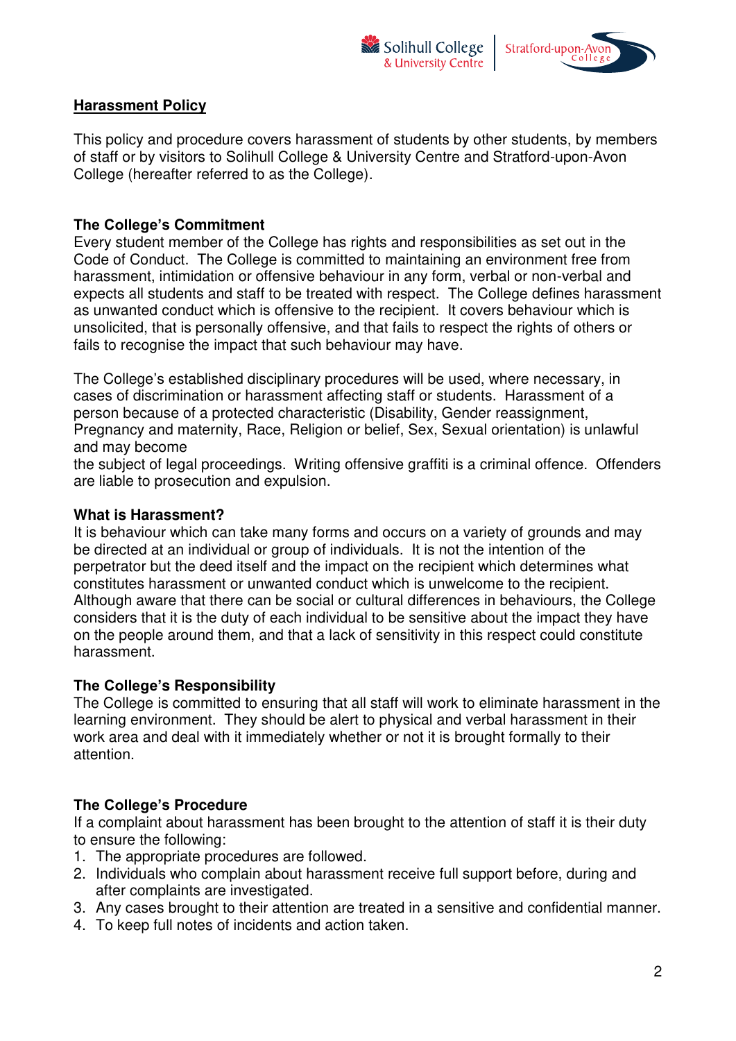



### **Harassment Policy**

This policy and procedure covers harassment of students by other students, by members of staff or by visitors to Solihull College & University Centre and Stratford-upon-Avon College (hereafter referred to as the College).

### **The College's Commitment**

Every student member of the College has rights and responsibilities as set out in the Code of Conduct. The College is committed to maintaining an environment free from harassment, intimidation or offensive behaviour in any form, verbal or non-verbal and expects all students and staff to be treated with respect. The College defines harassment as unwanted conduct which is offensive to the recipient. It covers behaviour which is unsolicited, that is personally offensive, and that fails to respect the rights of others or fails to recognise the impact that such behaviour may have.

The College's established disciplinary procedures will be used, where necessary, in cases of discrimination or harassment affecting staff or students. Harassment of a person because of a protected characteristic (Disability, Gender reassignment, Pregnancy and maternity, Race, Religion or belief, Sex, Sexual orientation) is unlawful and may become

the subject of legal proceedings. Writing offensive graffiti is a criminal offence. Offenders are liable to prosecution and expulsion.

### **What is Harassment?**

It is behaviour which can take many forms and occurs on a variety of grounds and may be directed at an individual or group of individuals. It is not the intention of the perpetrator but the deed itself and the impact on the recipient which determines what constitutes harassment or unwanted conduct which is unwelcome to the recipient. Although aware that there can be social or cultural differences in behaviours, the College considers that it is the duty of each individual to be sensitive about the impact they have on the people around them, and that a lack of sensitivity in this respect could constitute harassment.

### **The College's Responsibility**

The College is committed to ensuring that all staff will work to eliminate harassment in the learning environment. They should be alert to physical and verbal harassment in their work area and deal with it immediately whether or not it is brought formally to their attention.

### **The College's Procedure**

If a complaint about harassment has been brought to the attention of staff it is their duty to ensure the following:

- 1. The appropriate procedures are followed.
- 2. Individuals who complain about harassment receive full support before, during and after complaints are investigated.
- 3. Any cases brought to their attention are treated in a sensitive and confidential manner.
- 4. To keep full notes of incidents and action taken.